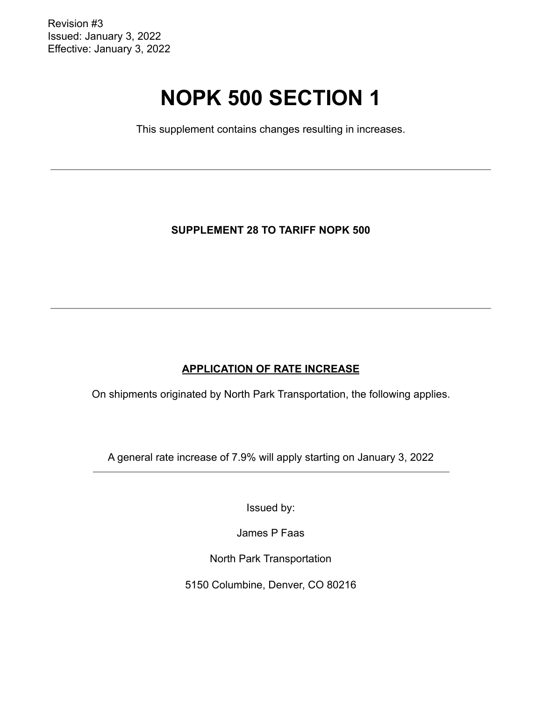Revision #3 Issued: January 3, 2022 Effective: January 3, 2022

# **NOPK 500 SECTION 1**

This supplement contains changes resulting in increases.

**SUPPLEMENT 28 TO TARIFF NOPK 500**

# **APPLICATION OF RATE INCREASE**

On shipments originated by North Park Transportation, the following applies.

A general rate increase of 7.9% will apply starting on January 3, 2022

Issued by:

James P Faas

North Park Transportation

5150 Columbine, Denver, CO 80216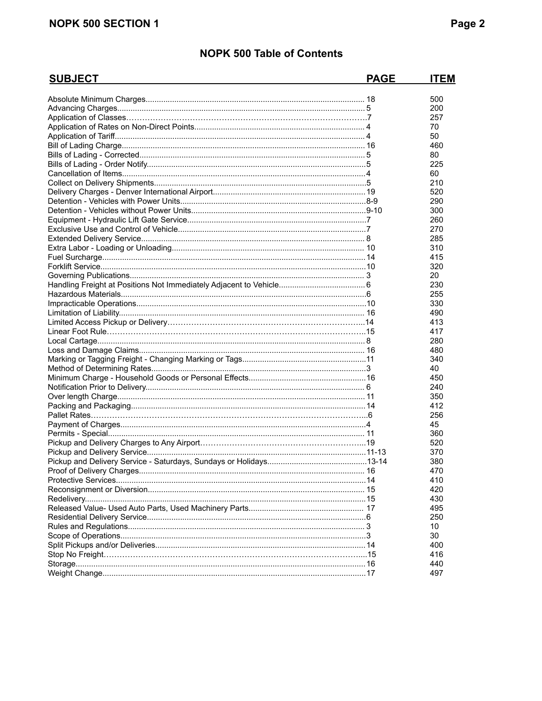# **NOPK 500 SECTION 1**

| <b>SUBJECT</b> | <b>PAGE</b> | <b>ITEM</b> |
|----------------|-------------|-------------|
|                |             | 500         |
|                |             | 200         |
|                |             | 257         |
|                |             | 70          |
|                |             | 50          |
|                |             | 460         |
|                |             | 80          |
|                |             | 225         |
|                |             | 60          |
|                |             | 210         |
|                |             | 520         |
|                |             | 290         |
|                |             | 300         |
|                |             | 260         |
|                |             | 270         |
|                |             | 285         |
|                |             | 310         |
|                |             | 415         |
|                |             | 320         |
|                |             | 20          |
|                |             | 230         |
|                |             | 255         |
|                |             | 330         |
|                |             | 490         |
|                |             | 413         |
|                |             | 417         |
|                |             | 280         |
|                |             | 480         |
|                |             | 340         |
|                |             | 40          |
|                |             | 450         |
|                |             | 240         |
|                |             | 350         |
|                |             | 412         |
|                |             | 256         |
|                |             | 45          |
|                |             | 360         |
|                |             | 520         |
|                |             | 370         |
|                |             | 380         |
|                |             | 470         |
|                |             | 410         |
|                |             | 420         |
|                |             | 430         |
|                |             | 495         |
|                |             | 250         |
|                |             | 10          |
|                |             | 30          |
|                |             | 400         |
|                |             | 416         |
|                |             | 440         |
|                |             | 497         |
|                |             |             |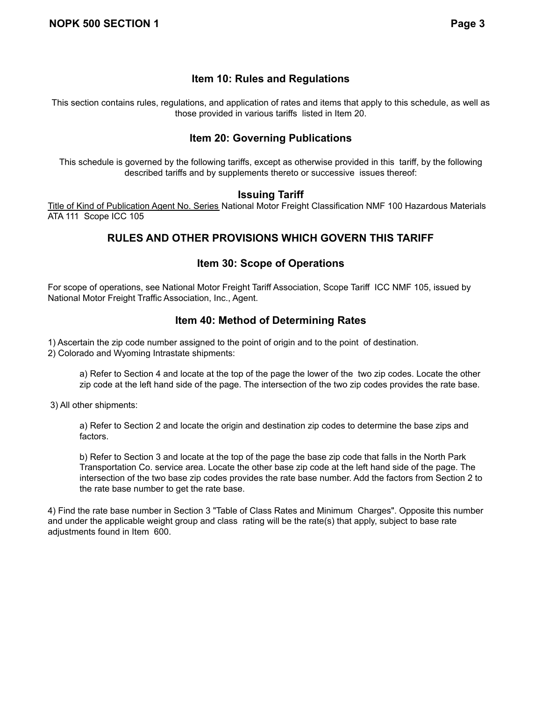## **Item 10: Rules and Regulations**

This section contains rules, regulations, and application of rates and items that apply to this schedule, as well as those provided in various tariffs listed in Item 20.

## **Item 20: Governing Publications**

This schedule is governed by the following tariffs, except as otherwise provided in this tariff, by the following described tariffs and by supplements thereto or successive issues thereof:

#### **Issuing Tariff**

Title of Kind of Publication Agent No. Series National Motor Freight Classification NMF 100 Hazardous Materials ATA 111 Scope ICC 105

# **RULES AND OTHER PROVISIONS WHICH GOVERN THIS TARIFF**

## **Item 30: Scope of Operations**

For scope of operations, see National Motor Freight Tariff Association, Scope Tariff ICC NMF 105, issued by National Motor Freight Traffic Association, Inc., Agent.

## **Item 40: Method of Determining Rates**

1) Ascertain the zip code number assigned to the point of origin and to the point of destination.

2) Colorado and Wyoming Intrastate shipments:

a) Refer to Section 4 and locate at the top of the page the lower of the two zip codes. Locate the other zip code at the left hand side of the page. The intersection of the two zip codes provides the rate base.

3) All other shipments:

a) Refer to Section 2 and locate the origin and destination zip codes to determine the base zips and factors.

b) Refer to Section 3 and locate at the top of the page the base zip code that falls in the North Park Transportation Co. service area. Locate the other base zip code at the left hand side of the page. The intersection of the two base zip codes provides the rate base number. Add the factors from Section 2 to the rate base number to get the rate base.

4) Find the rate base number in Section 3 "Table of Class Rates and Minimum Charges". Opposite this number and under the applicable weight group and class rating will be the rate(s) that apply, subject to base rate adjustments found in Item 600.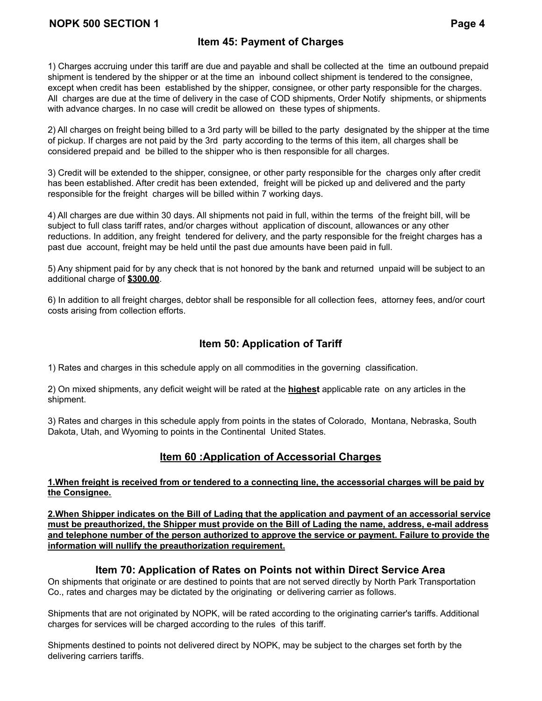## **Item 45: Payment of Charges**

1) Charges accruing under this tariff are due and payable and shall be collected at the time an outbound prepaid shipment is tendered by the shipper or at the time an inbound collect shipment is tendered to the consignee, except when credit has been established by the shipper, consignee, or other party responsible for the charges. All charges are due at the time of delivery in the case of COD shipments, Order Notify shipments, or shipments with advance charges. In no case will credit be allowed on these types of shipments.

2) All charges on freight being billed to a 3rd party will be billed to the party designated by the shipper at the time of pickup. If charges are not paid by the 3rd party according to the terms of this item, all charges shall be considered prepaid and be billed to the shipper who is then responsible for all charges.

3) Credit will be extended to the shipper, consignee, or other party responsible for the charges only after credit has been established. After credit has been extended, freight will be picked up and delivered and the party responsible for the freight charges will be billed within 7 working days.

4) All charges are due within 30 days. All shipments not paid in full, within the terms of the freight bill, will be subject to full class tariff rates, and/or charges without application of discount, allowances or any other reductions. In addition, any freight tendered for delivery, and the party responsible for the freight charges has a past due account, freight may be held until the past due amounts have been paid in full.

5) Any shipment paid for by any check that is not honored by the bank and returned unpaid will be subject to an additional charge of **\$300.00**.

6) In addition to all freight charges, debtor shall be responsible for all collection fees, attorney fees, and/or court costs arising from collection efforts.

# **Item 50: Application of Tariff**

1) Rates and charges in this schedule apply on all commodities in the governing classification.

2) On mixed shipments, any deficit weight will be rated at the **highest** applicable rate on any articles in the shipment.

3) Rates and charges in this schedule apply from points in the states of Colorado, Montana, Nebraska, South Dakota, Utah, and Wyoming to points in the Continental United States.

# **Item 60 :Application of Accessorial Charges**

#### 1. When freight is received from or tendered to a connecting line, the accessorial charges will be paid by **the Consignee.**

**2.When Shipper indicates on the Bill of Lading that the application and payment of an accessorial service must be preauthorized, the Shipper must provide on the Bill of Lading the name, address, e-mail address and telephone number of the person authorized to approve the service or payment. Failure to provide the information will nullify the preauthorization requirement.**

## **Item 70: Application of Rates on Points not within Direct Service Area**

On shipments that originate or are destined to points that are not served directly by North Park Transportation Co., rates and charges may be dictated by the originating or delivering carrier as follows.

Shipments that are not originated by NOPK, will be rated according to the originating carrier's tariffs. Additional charges for services will be charged according to the rules of this tariff.

Shipments destined to points not delivered direct by NOPK, may be subject to the charges set forth by the delivering carriers tariffs.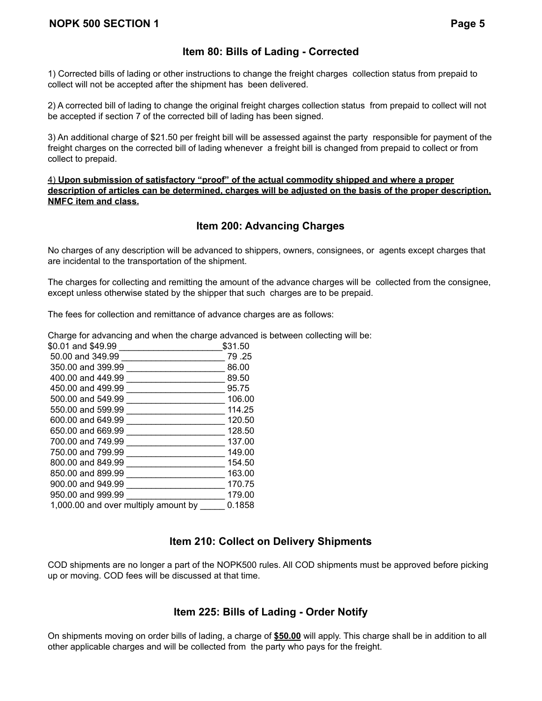## **Item 80: Bills of Lading - Corrected**

1) Corrected bills of lading or other instructions to change the freight charges collection status from prepaid to collect will not be accepted after the shipment has been delivered.

2) A corrected bill of lading to change the original freight charges collection status from prepaid to collect will not be accepted if section 7 of the corrected bill of lading has been signed.

3) An additional charge of \$21.50 per freight bill will be assessed against the party responsible for payment of the freight charges on the corrected bill of lading whenever a freight bill is changed from prepaid to collect or from collect to prepaid.

4) **Upon submission of satisfactory "proof" of the actual commodity shipped and where a proper** description of articles can be determined, charges will be adjusted on the basis of the proper description. **NMFC item and class.**

## **Item 200: Advancing Charges**

No charges of any description will be advanced to shippers, owners, consignees, or agents except charges that are incidental to the transportation of the shipment.

The charges for collecting and remitting the amount of the advance charges will be collected from the consignee, except unless otherwise stated by the shipper that such charges are to be prepaid.

The fees for collection and remittance of advance charges are as follows:

Charge for advancing and when the charge advanced is between collecting will be:

| \$0.01 and \$49.99                   | \$31.50 |
|--------------------------------------|---------|
| 50.00 and 349.99                     | 79.25   |
| 350.00 and 399.99                    | 86.00   |
| 400.00 and 449.99                    | 89.50   |
| 450.00 and 499.99                    | 95.75   |
| 500.00 and 549.99                    | 106.00  |
| 550.00 and 599.99                    | 114.25  |
| 600.00 and 649.99                    | 120.50  |
| 650.00 and 669.99                    | 128.50  |
| 700.00 and 749.99                    | 137.00  |
| 750.00 and 799.99                    | 149.00  |
| 800.00 and 849.99                    | 154.50  |
| 850.00 and 899.99                    | 163.00  |
| 900.00 and 949.99                    | 170.75  |
| 950.00 and 999.99                    | 179.00  |
| 1,000.00 and over multiply amount by | 0.1858  |
|                                      |         |

#### **Item 210: Collect on Delivery Shipments**

COD shipments are no longer a part of the NOPK500 rules. All COD shipments must be approved before picking up or moving. COD fees will be discussed at that time.

## **Item 225: Bills of Lading - Order Notify**

On shipments moving on order bills of lading, a charge of **\$50.00** will apply. This charge shall be in addition to all other applicable charges and will be collected from the party who pays for the freight.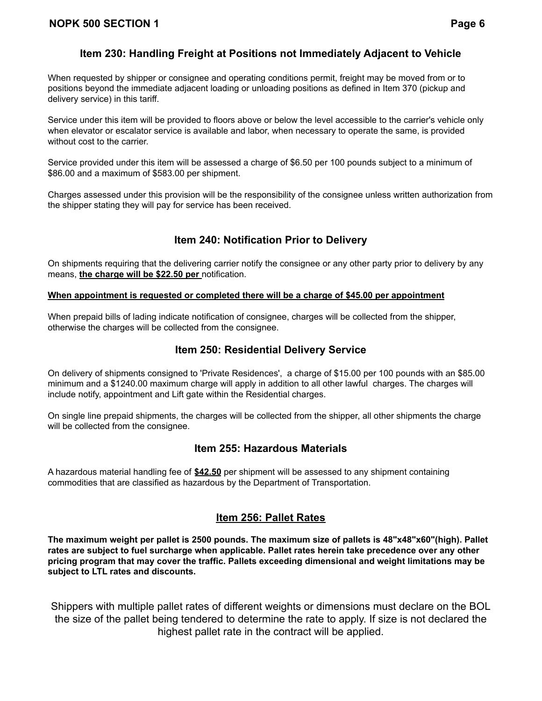# **Item 230: Handling Freight at Positions not Immediately Adjacent to Vehicle**

When requested by shipper or consignee and operating conditions permit, freight may be moved from or to positions beyond the immediate adjacent loading or unloading positions as defined in Item 370 (pickup and delivery service) in this tariff.

Service under this item will be provided to floors above or below the level accessible to the carrier's vehicle only when elevator or escalator service is available and labor, when necessary to operate the same, is provided without cost to the carrier.

Service provided under this item will be assessed a charge of \$6.50 per 100 pounds subject to a minimum of \$86.00 and a maximum of \$583.00 per shipment.

Charges assessed under this provision will be the responsibility of the consignee unless written authorization from the shipper stating they will pay for service has been received.

# **Item 240: Notification Prior to Delivery**

On shipments requiring that the delivering carrier notify the consignee or any other party prior to delivery by any means, **the charge will be \$22.50 per** notification.

#### **When appointment is requested or completed there will be a charge of \$45.00 per appointment**

When prepaid bills of lading indicate notification of consignee, charges will be collected from the shipper, otherwise the charges will be collected from the consignee.

#### **Item 250: Residential Delivery Service**

On delivery of shipments consigned to 'Private Residences', a charge of \$15.00 per 100 pounds with an \$85.00 minimum and a \$1240.00 maximum charge will apply in addition to all other lawful charges. The charges will include notify, appointment and Lift gate within the Residential charges.

On single line prepaid shipments, the charges will be collected from the shipper, all other shipments the charge will be collected from the consignee.

#### **Item 255: Hazardous Materials**

A hazardous material handling fee of **\$42.50** per shipment will be assessed to any shipment containing commodities that are classified as hazardous by the Department of Transportation.

## **Item 256: Pallet Rates**

**The maximum weight per pallet is 2500 pounds. The maximum size of pallets is 48"x48"x60"(high). Pallet rates are subject to fuel surcharge when applicable. Pallet rates herein take precedence over any other pricing program that may cover the traffic. Pallets exceeding dimensional and weight limitations may be subject to LTL rates and discounts.**

Shippers with multiple pallet rates of different weights or dimensions must declare on the BOL the size of the pallet being tendered to determine the rate to apply. If size is not declared the highest pallet rate in the contract will be applied.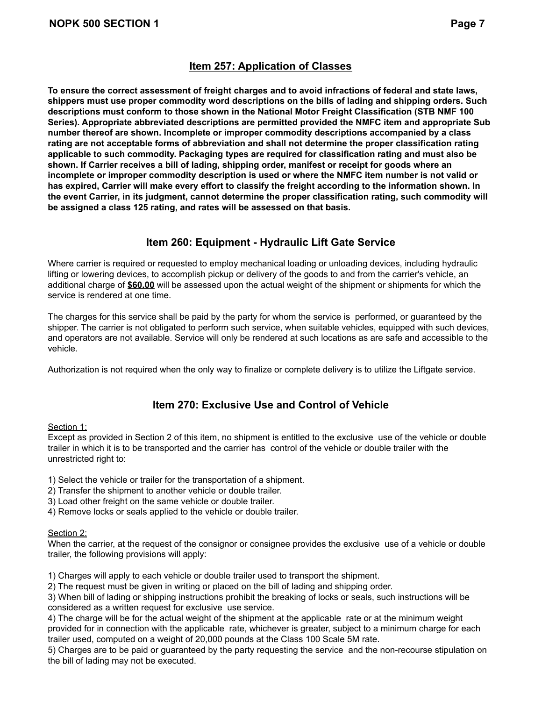## **Item 257: Application of Classes**

**To ensure the correct assessment of freight charges and to avoid infractions of federal and state laws, shippers must use proper commodity word descriptions on the bills of lading and shipping orders. Such descriptions must conform to those shown in the National Motor Freight Classification (STB NMF 100 Series). Appropriate abbreviated descriptions are permitted provided the NMFC item and appropriate Sub number thereof are shown. Incomplete or improper commodity descriptions accompanied by a class rating are not acceptable forms of abbreviation and shall not determine the proper classification rating applicable to such commodity. Packaging types are required for classification rating and must also be shown. If Carrier receives a bill of lading, shipping order, manifest or receipt for goods where an incomplete or improper commodity description is used or where the NMFC item number is not valid or** has expired, Carrier will make every effort to classify the freight according to the information shown. In **the event Carrier, in its judgment, cannot determine the proper classification rating, such commodity will be assigned a class 125 rating, and rates will be assessed on that basis.**

## **Item 260: Equipment - Hydraulic Lift Gate Service**

Where carrier is required or requested to employ mechanical loading or unloading devices, including hydraulic lifting or lowering devices, to accomplish pickup or delivery of the goods to and from the carrier's vehicle, an additional charge of **\$60.00** will be assessed upon the actual weight of the shipment or shipments for which the service is rendered at one time.

The charges for this service shall be paid by the party for whom the service is performed, or guaranteed by the shipper. The carrier is not obligated to perform such service, when suitable vehicles, equipped with such devices, and operators are not available. Service will only be rendered at such locations as are safe and accessible to the vehicle.

Authorization is not required when the only way to finalize or complete delivery is to utilize the Liftgate service.

## **Item 270: Exclusive Use and Control of Vehicle**

#### Section 1:

Except as provided in Section 2 of this item, no shipment is entitled to the exclusive use of the vehicle or double trailer in which it is to be transported and the carrier has control of the vehicle or double trailer with the unrestricted right to:

- 1) Select the vehicle or trailer for the transportation of a shipment.
- 2) Transfer the shipment to another vehicle or double trailer.
- 3) Load other freight on the same vehicle or double trailer.
- 4) Remove locks or seals applied to the vehicle or double trailer.

#### Section 2:

When the carrier, at the request of the consignor or consignee provides the exclusive use of a vehicle or double trailer, the following provisions will apply:

1) Charges will apply to each vehicle or double trailer used to transport the shipment.

2) The request must be given in writing or placed on the bill of lading and shipping order.

3) When bill of lading or shipping instructions prohibit the breaking of locks or seals, such instructions will be considered as a written request for exclusive use service.

4) The charge will be for the actual weight of the shipment at the applicable rate or at the minimum weight provided for in connection with the applicable rate, whichever is greater, subject to a minimum charge for each trailer used, computed on a weight of 20,000 pounds at the Class 100 Scale 5M rate.

5) Charges are to be paid or guaranteed by the party requesting the service and the non-recourse stipulation on the bill of lading may not be executed.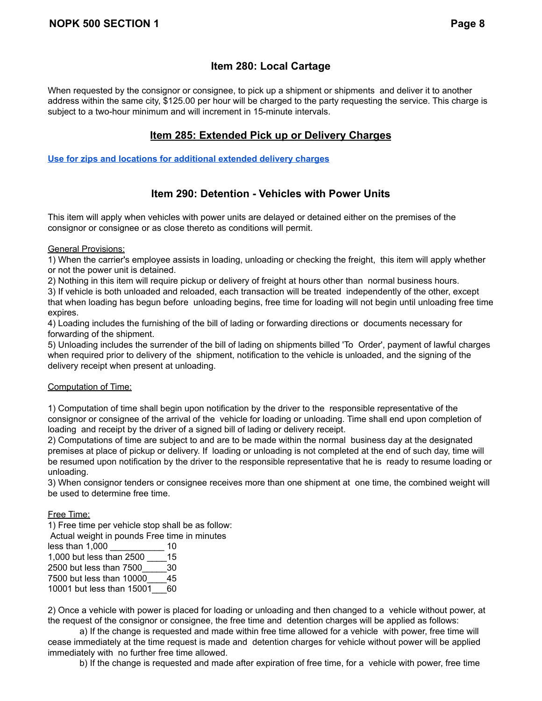# **Item 280: Local Cartage**

When requested by the consignor or consignee, to pick up a shipment or shipments and deliver it to another address within the same city, \$125.00 per hour will be charged to the party requesting the service. This charge is subject to a two-hour minimum and will increment in 15-minute intervals.

## **Item 285: Extended Pick up or Delivery Charges**

**Use for zips and locations for [additional](https://docs.google.com/spreadsheets/u/0/d/1AwePHv-OL0J6WJM0y4nGu6c3kkJz5Ma9o5ge8_iBTrY/edit) extended delivery charges**

# **Item 290: Detention - Vehicles with Power Units**

This item will apply when vehicles with power units are delayed or detained either on the premises of the consignor or consignee or as close thereto as conditions will permit.

General Provisions:

1) When the carrier's employee assists in loading, unloading or checking the freight, this item will apply whether or not the power unit is detained.

2) Nothing in this item will require pickup or delivery of freight at hours other than normal business hours.

3) If vehicle is both unloaded and reloaded, each transaction will be treated independently of the other, except that when loading has begun before unloading begins, free time for loading will not begin until unloading free time expires.

4) Loading includes the furnishing of the bill of lading or forwarding directions or documents necessary for forwarding of the shipment.

5) Unloading includes the surrender of the bill of lading on shipments billed 'To Order', payment of lawful charges when required prior to delivery of the shipment, notification to the vehicle is unloaded, and the signing of the delivery receipt when present at unloading.

#### Computation of Time:

1) Computation of time shall begin upon notification by the driver to the responsible representative of the consignor or consignee of the arrival of the vehicle for loading or unloading. Time shall end upon completion of loading and receipt by the driver of a signed bill of lading or delivery receipt.

2) Computations of time are subject to and are to be made within the normal business day at the designated premises at place of pickup or delivery. If loading or unloading is not completed at the end of such day, time will be resumed upon notification by the driver to the responsible representative that he is ready to resume loading or unloading.

3) When consignor tenders or consignee receives more than one shipment at one time, the combined weight will be used to determine free time.

#### Free Time:

1) Free time per vehicle stop shall be as follow:

Actual weight in pounds Free time in minutes

less than 1,000 \_\_\_\_\_\_\_\_\_\_\_ 10 1,000 but less than 2500 \_\_\_\_15 2500 but less than 7500\_\_\_\_\_30 7500 but less than 10000\_\_\_\_45 10001 but less than 15001\_\_\_60

2) Once a vehicle with power is placed for loading or unloading and then changed to a vehicle without power, at the request of the consignor or consignee, the free time and detention charges will be applied as follows:

a) If the change is requested and made within free time allowed for a vehicle with power, free time will cease immediately at the time request is made and detention charges for vehicle without power will be applied immediately with no further free time allowed.

b) If the change is requested and made after expiration of free time, for a vehicle with power, free time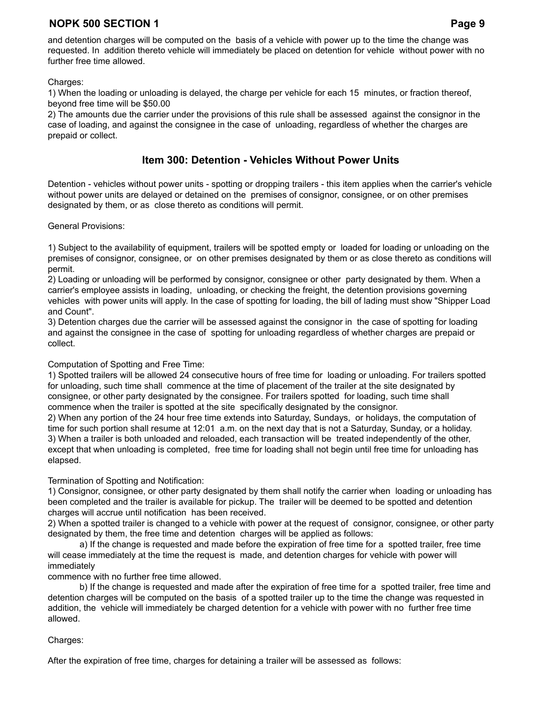and detention charges will be computed on the basis of a vehicle with power up to the time the change was requested. In addition thereto vehicle will immediately be placed on detention for vehicle without power with no further free time allowed.

#### Charges:

1) When the loading or unloading is delayed, the charge per vehicle for each 15 minutes, or fraction thereof, beyond free time will be \$50.00

2) The amounts due the carrier under the provisions of this rule shall be assessed against the consignor in the case of loading, and against the consignee in the case of unloading, regardless of whether the charges are prepaid or collect.

#### **Item 300: Detention - Vehicles Without Power Units**

Detention - vehicles without power units - spotting or dropping trailers - this item applies when the carrier's vehicle without power units are delayed or detained on the premises of consignor, consignee, or on other premises designated by them, or as close thereto as conditions will permit.

#### General Provisions:

1) Subject to the availability of equipment, trailers will be spotted empty or loaded for loading or unloading on the premises of consignor, consignee, or on other premises designated by them or as close thereto as conditions will permit.

2) Loading or unloading will be performed by consignor, consignee or other party designated by them. When a carrier's employee assists in loading, unloading, or checking the freight, the detention provisions governing vehicles with power units will apply. In the case of spotting for loading, the bill of lading must show "Shipper Load and Count".

3) Detention charges due the carrier will be assessed against the consignor in the case of spotting for loading and against the consignee in the case of spotting for unloading regardless of whether charges are prepaid or collect.

#### Computation of Spotting and Free Time:

1) Spotted trailers will be allowed 24 consecutive hours of free time for loading or unloading. For trailers spotted for unloading, such time shall commence at the time of placement of the trailer at the site designated by consignee, or other party designated by the consignee. For trailers spotted for loading, such time shall commence when the trailer is spotted at the site specifically designated by the consignor.

2) When any portion of the 24 hour free time extends into Saturday, Sundays, or holidays, the computation of time for such portion shall resume at 12:01 a.m. on the next day that is not a Saturday, Sunday, or a holiday. 3) When a trailer is both unloaded and reloaded, each transaction will be treated independently of the other, except that when unloading is completed, free time for loading shall not begin until free time for unloading has elapsed.

#### Termination of Spotting and Notification:

1) Consignor, consignee, or other party designated by them shall notify the carrier when loading or unloading has been completed and the trailer is available for pickup. The trailer will be deemed to be spotted and detention charges will accrue until notification has been received.

2) When a spotted trailer is changed to a vehicle with power at the request of consignor, consignee, or other party designated by them, the free time and detention charges will be applied as follows:

a) If the change is requested and made before the expiration of free time for a spotted trailer, free time will cease immediately at the time the request is made, and detention charges for vehicle with power will immediately

commence with no further free time allowed.

b) If the change is requested and made after the expiration of free time for a spotted trailer, free time and detention charges will be computed on the basis of a spotted trailer up to the time the change was requested in addition, the vehicle will immediately be charged detention for a vehicle with power with no further free time allowed.

#### Charges:

After the expiration of free time, charges for detaining a trailer will be assessed as follows: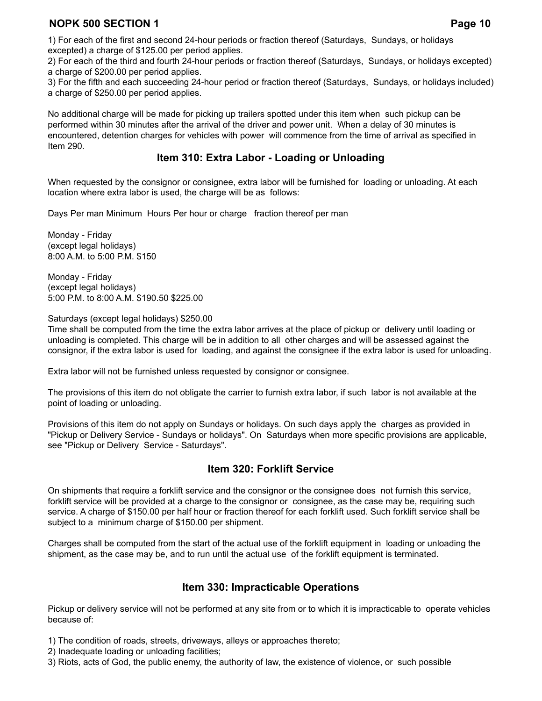1) For each of the first and second 24-hour periods or fraction thereof (Saturdays, Sundays, or holidays excepted) a charge of \$125.00 per period applies.

2) For each of the third and fourth 24-hour periods or fraction thereof (Saturdays, Sundays, or holidays excepted) a charge of \$200.00 per period applies.

3) For the fifth and each succeeding 24-hour period or fraction thereof (Saturdays, Sundays, or holidays included) a charge of \$250.00 per period applies.

No additional charge will be made for picking up trailers spotted under this item when such pickup can be performed within 30 minutes after the arrival of the driver and power unit. When a delay of 30 minutes is encountered, detention charges for vehicles with power will commence from the time of arrival as specified in Item 290.

#### **Item 310: Extra Labor - Loading or Unloading**

When requested by the consignor or consignee, extra labor will be furnished for loading or unloading. At each location where extra labor is used, the charge will be as follows:

Days Per man Minimum Hours Per hour or charge fraction thereof per man

Monday - Friday (except legal holidays) 8:00 A.M. to 5:00 P.M. \$150

Monday - Friday (except legal holidays) 5:00 P.M. to 8:00 A.M. \$190.50 \$225.00

Saturdays (except legal holidays) \$250.00

Time shall be computed from the time the extra labor arrives at the place of pickup or delivery until loading or unloading is completed. This charge will be in addition to all other charges and will be assessed against the consignor, if the extra labor is used for loading, and against the consignee if the extra labor is used for unloading.

Extra labor will not be furnished unless requested by consignor or consignee.

The provisions of this item do not obligate the carrier to furnish extra labor, if such labor is not available at the point of loading or unloading.

Provisions of this item do not apply on Sundays or holidays. On such days apply the charges as provided in "Pickup or Delivery Service - Sundays or holidays". On Saturdays when more specific provisions are applicable, see "Pickup or Delivery Service - Saturdays".

## **Item 320: Forklift Service**

On shipments that require a forklift service and the consignor or the consignee does not furnish this service, forklift service will be provided at a charge to the consignor or consignee, as the case may be, requiring such service. A charge of \$150.00 per half hour or fraction thereof for each forklift used. Such forklift service shall be subject to a minimum charge of \$150.00 per shipment.

Charges shall be computed from the start of the actual use of the forklift equipment in loading or unloading the shipment, as the case may be, and to run until the actual use of the forklift equipment is terminated.

## **Item 330: Impracticable Operations**

Pickup or delivery service will not be performed at any site from or to which it is impracticable to operate vehicles because of:

1) The condition of roads, streets, driveways, alleys or approaches thereto;

2) Inadequate loading or unloading facilities;

3) Riots, acts of God, the public enemy, the authority of law, the existence of violence, or such possible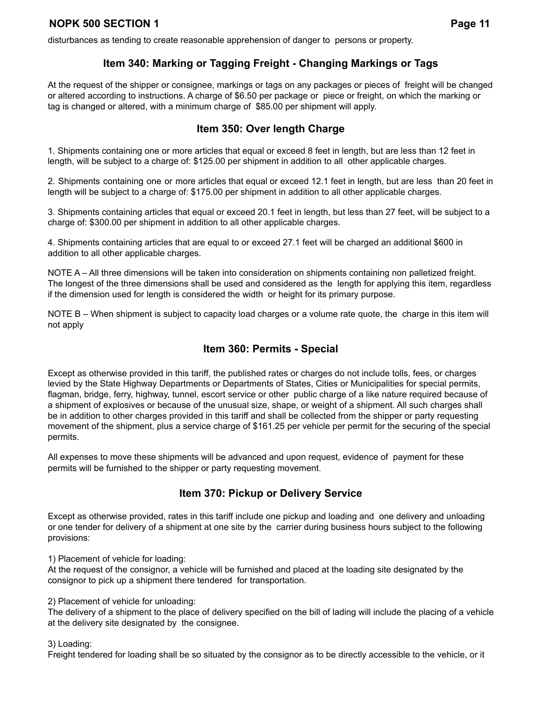disturbances as tending to create reasonable apprehension of danger to persons or property.

## **Item 340: Marking or Tagging Freight - Changing Markings or Tags**

At the request of the shipper or consignee, markings or tags on any packages or pieces of freight will be changed or altered according to instructions. A charge of \$6.50 per package or piece or freight, on which the marking or tag is changed or altered, with a minimum charge of \$85.00 per shipment will apply.

## **Item 350: Over length Charge**

1. Shipments containing one or more articles that equal or exceed 8 feet in length, but are less than 12 feet in length, will be subject to a charge of: \$125.00 per shipment in addition to all other applicable charges.

2. Shipments containing one or more articles that equal or exceed 12.1 feet in length, but are less than 20 feet in length will be subject to a charge of: \$175.00 per shipment in addition to all other applicable charges.

3. Shipments containing articles that equal or exceed 20.1 feet in length, but less than 27 feet, will be subject to a charge of: \$300.00 per shipment in addition to all other applicable charges.

4. Shipments containing articles that are equal to or exceed 27.1 feet will be charged an additional \$600 in addition to all other applicable charges.

NOTE A – All three dimensions will be taken into consideration on shipments containing non palletized freight. The longest of the three dimensions shall be used and considered as the length for applying this item, regardless if the dimension used for length is considered the width or height for its primary purpose.

NOTE B – When shipment is subject to capacity load charges or a volume rate quote, the charge in this item will not apply

#### **Item 360: Permits - Special**

Except as otherwise provided in this tariff, the published rates or charges do not include tolls, fees, or charges levied by the State Highway Departments or Departments of States, Cities or Municipalities for special permits, flagman, bridge, ferry, highway, tunnel, escort service or other public charge of a like nature required because of a shipment of explosives or because of the unusual size, shape, or weight of a shipment. All such charges shall be in addition to other charges provided in this tariff and shall be collected from the shipper or party requesting movement of the shipment, plus a service charge of \$161.25 per vehicle per permit for the securing of the special permits.

All expenses to move these shipments will be advanced and upon request, evidence of payment for these permits will be furnished to the shipper or party requesting movement.

# **Item 370: Pickup or Delivery Service**

Except as otherwise provided, rates in this tariff include one pickup and loading and one delivery and unloading or one tender for delivery of a shipment at one site by the carrier during business hours subject to the following provisions:

1) Placement of vehicle for loading:

At the request of the consignor, a vehicle will be furnished and placed at the loading site designated by the consignor to pick up a shipment there tendered for transportation.

2) Placement of vehicle for unloading:

The delivery of a shipment to the place of delivery specified on the bill of lading will include the placing of a vehicle at the delivery site designated by the consignee.

3) Loading:

Freight tendered for loading shall be so situated by the consignor as to be directly accessible to the vehicle, or it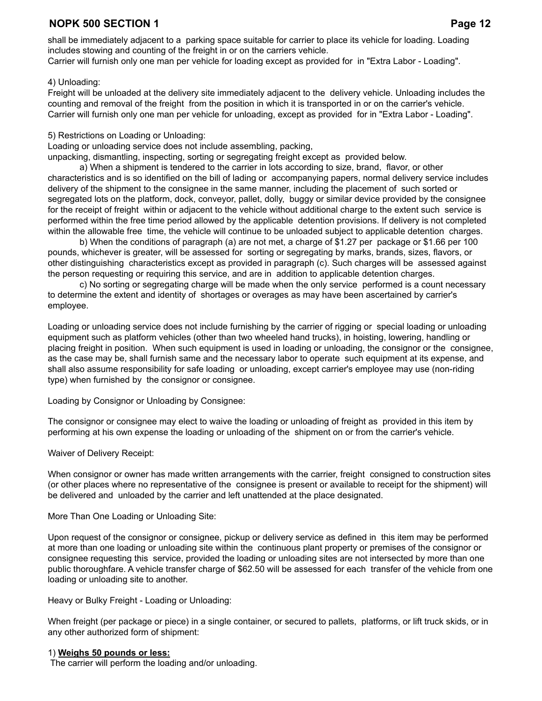shall be immediately adjacent to a parking space suitable for carrier to place its vehicle for loading. Loading includes stowing and counting of the freight in or on the carriers vehicle. Carrier will furnish only one man per vehicle for loading except as provided for in "Extra Labor - Loading".

#### 4) Unloading:

Freight will be unloaded at the delivery site immediately adjacent to the delivery vehicle. Unloading includes the counting and removal of the freight from the position in which it is transported in or on the carrier's vehicle. Carrier will furnish only one man per vehicle for unloading, except as provided for in "Extra Labor - Loading".

#### 5) Restrictions on Loading or Unloading:

Loading or unloading service does not include assembling, packing,

unpacking, dismantling, inspecting, sorting or segregating freight except as provided below.

a) When a shipment is tendered to the carrier in lots according to size, brand, flavor, or other characteristics and is so identified on the bill of lading or accompanying papers, normal delivery service includes delivery of the shipment to the consignee in the same manner, including the placement of such sorted or segregated lots on the platform, dock, conveyor, pallet, dolly, buggy or similar device provided by the consignee for the receipt of freight within or adjacent to the vehicle without additional charge to the extent such service is performed within the free time period allowed by the applicable detention provisions. If delivery is not completed within the allowable free time, the vehicle will continue to be unloaded subject to applicable detention charges.

b) When the conditions of paragraph (a) are not met, a charge of \$1.27 per package or \$1.66 per 100 pounds, whichever is greater, will be assessed for sorting or segregating by marks, brands, sizes, flavors, or other distinguishing characteristics except as provided in paragraph (c). Such charges will be assessed against the person requesting or requiring this service, and are in addition to applicable detention charges.

c) No sorting or segregating charge will be made when the only service performed is a count necessary to determine the extent and identity of shortages or overages as may have been ascertained by carrier's employee.

Loading or unloading service does not include furnishing by the carrier of rigging or special loading or unloading equipment such as platform vehicles (other than two wheeled hand trucks), in hoisting, lowering, handling or placing freight in position. When such equipment is used in loading or unloading, the consignor or the consignee, as the case may be, shall furnish same and the necessary labor to operate such equipment at its expense, and shall also assume responsibility for safe loading or unloading, except carrier's employee may use (non-riding type) when furnished by the consignor or consignee.

Loading by Consignor or Unloading by Consignee:

The consignor or consignee may elect to waive the loading or unloading of freight as provided in this item by performing at his own expense the loading or unloading of the shipment on or from the carrier's vehicle.

#### Waiver of Delivery Receipt:

When consignor or owner has made written arrangements with the carrier, freight consigned to construction sites (or other places where no representative of the consignee is present or available to receipt for the shipment) will be delivered and unloaded by the carrier and left unattended at the place designated.

More Than One Loading or Unloading Site:

Upon request of the consignor or consignee, pickup or delivery service as defined in this item may be performed at more than one loading or unloading site within the continuous plant property or premises of the consignor or consignee requesting this service, provided the loading or unloading sites are not intersected by more than one public thoroughfare. A vehicle transfer charge of \$62.50 will be assessed for each transfer of the vehicle from one loading or unloading site to another.

Heavy or Bulky Freight - Loading or Unloading:

When freight (per package or piece) in a single container, or secured to pallets, platforms, or lift truck skids, or in any other authorized form of shipment:

#### 1) **Weighs 50 pounds or less:**

The carrier will perform the loading and/or unloading.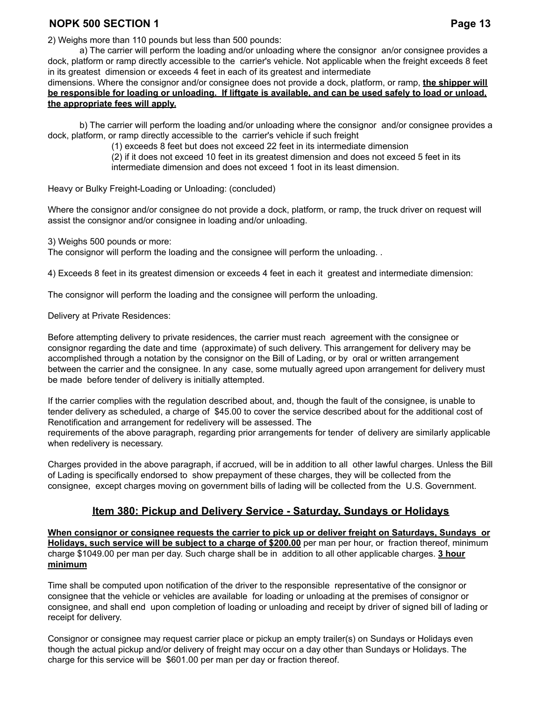2) Weighs more than 110 pounds but less than 500 pounds:

a) The carrier will perform the loading and/or unloading where the consignor an/or consignee provides a dock, platform or ramp directly accessible to the carrier's vehicle. Not applicable when the freight exceeds 8 feet in its greatest dimension or exceeds 4 feet in each of its greatest and intermediate

dimensions. Where the consignor and/or consignee does not provide a dock, platform, or ramp, **the shipper will** be responsible for loading or unloading. If liftgate is available, and can be used safely to load or unload, **the appropriate fees will apply.**

b) The carrier will perform the loading and/or unloading where the consignor and/or consignee provides a dock, platform, or ramp directly accessible to the carrier's vehicle if such freight

(1) exceeds 8 feet but does not exceed 22 feet in its intermediate dimension

(2) if it does not exceed 10 feet in its greatest dimension and does not exceed 5 feet in its intermediate dimension and does not exceed 1 foot in its least dimension.

Heavy or Bulky Freight-Loading or Unloading: (concluded)

Where the consignor and/or consignee do not provide a dock, platform, or ramp, the truck driver on request will assist the consignor and/or consignee in loading and/or unloading.

3) Weighs 500 pounds or more:

The consignor will perform the loading and the consignee will perform the unloading. .

4) Exceeds 8 feet in its greatest dimension or exceeds 4 feet in each it greatest and intermediate dimension:

The consignor will perform the loading and the consignee will perform the unloading.

Delivery at Private Residences:

Before attempting delivery to private residences, the carrier must reach agreement with the consignee or consignor regarding the date and time (approximate) of such delivery. This arrangement for delivery may be accomplished through a notation by the consignor on the Bill of Lading, or by oral or written arrangement between the carrier and the consignee. In any case, some mutually agreed upon arrangement for delivery must be made before tender of delivery is initially attempted.

If the carrier complies with the regulation described about, and, though the fault of the consignee, is unable to tender delivery as scheduled, a charge of \$45.00 to cover the service described about for the additional cost of Renotification and arrangement for redelivery will be assessed. The requirements of the above paragraph, regarding prior arrangements for tender of delivery are similarly applicable when redelivery is necessary.

Charges provided in the above paragraph, if accrued, will be in addition to all other lawful charges. Unless the Bill of Lading is specifically endorsed to show prepayment of these charges, they will be collected from the consignee, except charges moving on government bills of lading will be collected from the U.S. Government.

#### **Item 380: Pickup and Delivery Service - Saturday, Sundays or Holidays**

**When consignor or consignee requests the carrier to pick up or deliver freight on Saturdays, Sundays or Holidays, such service will be subject to a charge of \$200.00** per man per hour, or fraction thereof, minimum charge \$1049.00 per man per day. Such charge shall be in addition to all other applicable charges. **3 hour minimum**

Time shall be computed upon notification of the driver to the responsible representative of the consignor or consignee that the vehicle or vehicles are available for loading or unloading at the premises of consignor or consignee, and shall end upon completion of loading or unloading and receipt by driver of signed bill of lading or receipt for delivery.

Consignor or consignee may request carrier place or pickup an empty trailer(s) on Sundays or Holidays even though the actual pickup and/or delivery of freight may occur on a day other than Sundays or Holidays. The charge for this service will be \$601.00 per man per day or fraction thereof.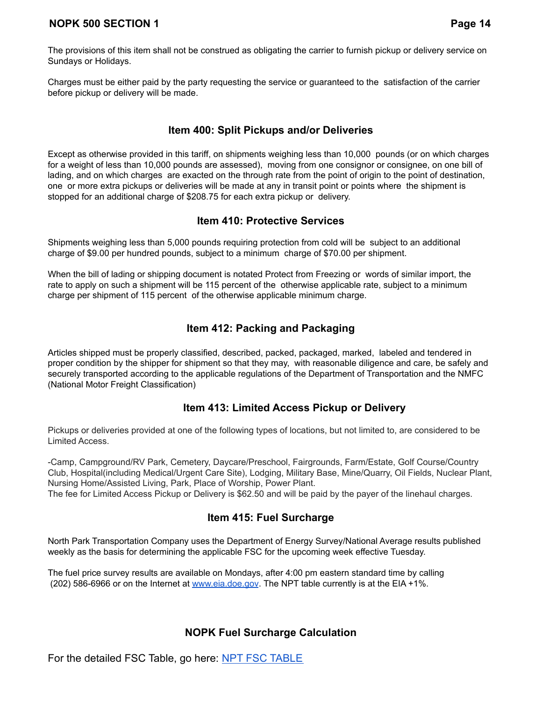The provisions of this item shall not be construed as obligating the carrier to furnish pickup or delivery service on Sundays or Holidays.

Charges must be either paid by the party requesting the service or guaranteed to the satisfaction of the carrier before pickup or delivery will be made.

## **Item 400: Split Pickups and/or Deliveries**

Except as otherwise provided in this tariff, on shipments weighing less than 10,000 pounds (or on which charges for a weight of less than 10,000 pounds are assessed), moving from one consignor or consignee, on one bill of lading, and on which charges are exacted on the through rate from the point of origin to the point of destination, one or more extra pickups or deliveries will be made at any in transit point or points where the shipment is stopped for an additional charge of \$208.75 for each extra pickup or delivery.

## **Item 410: Protective Services**

Shipments weighing less than 5,000 pounds requiring protection from cold will be subject to an additional charge of \$9.00 per hundred pounds, subject to a minimum charge of \$70.00 per shipment.

When the bill of lading or shipping document is notated Protect from Freezing or words of similar import, the rate to apply on such a shipment will be 115 percent of the otherwise applicable rate, subject to a minimum charge per shipment of 115 percent of the otherwise applicable minimum charge.

# **Item 412: Packing and Packaging**

Articles shipped must be properly classified, described, packed, packaged, marked, labeled and tendered in proper condition by the shipper for shipment so that they may, with reasonable diligence and care, be safely and securely transported according to the applicable regulations of the Department of Transportation and the NMFC (National Motor Freight Classification)

# **Item 413: Limited Access Pickup or Delivery**

Pickups or deliveries provided at one of the following types of locations, but not limited to, are considered to be Limited Access.

-Camp, Campground/RV Park, Cemetery, Daycare/Preschool, Fairgrounds, Farm/Estate, Golf Course/Country Club, Hospital(including Medical/Urgent Care Site), Lodging, Military Base, Mine/Quarry, Oil Fields, Nuclear Plant, Nursing Home/Assisted Living, Park, Place of Worship, Power Plant.

## The fee for Limited Access Pickup or Delivery is \$62.50 and will be paid by the payer of the linehaul charges.

# **Item 415: Fuel Surcharge**

North Park Transportation Company uses the Department of Energy Survey/National Average results published weekly as the basis for determining the applicable FSC for the upcoming week effective Tuesday.

The fuel price survey results are available on Mondays, after 4:00 pm eastern standard time by calling (202) 586-6966 or on the Internet at [www.eia.doe.gov](http://www.eia.doe.gov). The NPT table currently is at the EIA +1%.

# **NOPK Fuel Surcharge Calculation**

For the detailed FSC Table, go here: [NPT FSC TABLE](https://docs.google.com/spreadsheets/u/0/d/1fX_tJqsXSn7_nFk2o6cByIGCHsO0YwRFcyrsT7LlJL0/edit)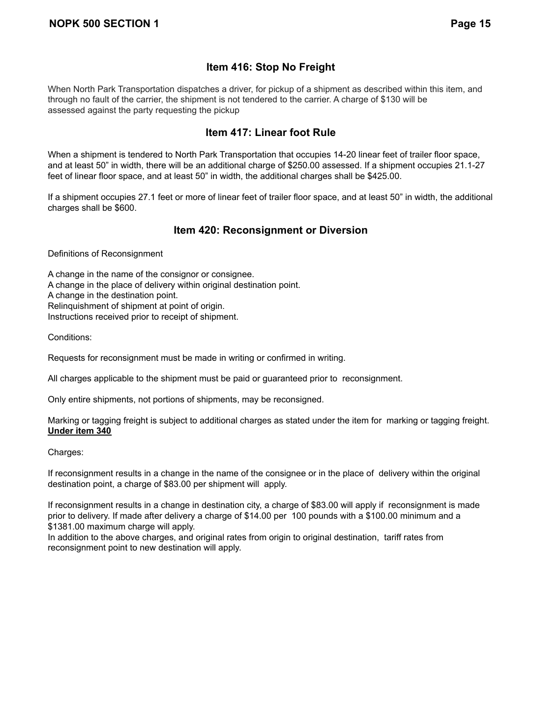# **Item 416: Stop No Freight**

When North Park Transportation dispatches a driver, for pickup of a shipment as described within this item, and through no fault of the carrier, the shipment is not tendered to the carrier. A charge of \$130 will be assessed against the party requesting the pickup

## **Item 417: Linear foot Rule**

When a shipment is tendered to North Park Transportation that occupies 14-20 linear feet of trailer floor space, and at least 50" in width, there will be an additional charge of \$250.00 assessed. If a shipment occupies 21.1-27 feet of linear floor space, and at least 50" in width, the additional charges shall be \$425.00.

If a shipment occupies 27.1 feet or more of linear feet of trailer floor space, and at least 50" in width, the additional charges shall be \$600.

# **Item 420: Reconsignment or Diversion**

Definitions of Reconsignment

A change in the name of the consignor or consignee. A change in the place of delivery within original destination point. A change in the destination point. Relinquishment of shipment at point of origin. Instructions received prior to receipt of shipment.

Conditions:

Requests for reconsignment must be made in writing or confirmed in writing.

All charges applicable to the shipment must be paid or guaranteed prior to reconsignment.

Only entire shipments, not portions of shipments, may be reconsigned.

Marking or tagging freight is subject to additional charges as stated under the item for marking or tagging freight. **Under item 340**

Charges:

If reconsignment results in a change in the name of the consignee or in the place of delivery within the original destination point, a charge of \$83.00 per shipment will apply.

If reconsignment results in a change in destination city, a charge of \$83.00 will apply if reconsignment is made prior to delivery. If made after delivery a charge of \$14.00 per 100 pounds with a \$100.00 minimum and a \$1381.00 maximum charge will apply.

In addition to the above charges, and original rates from origin to original destination, tariff rates from reconsignment point to new destination will apply.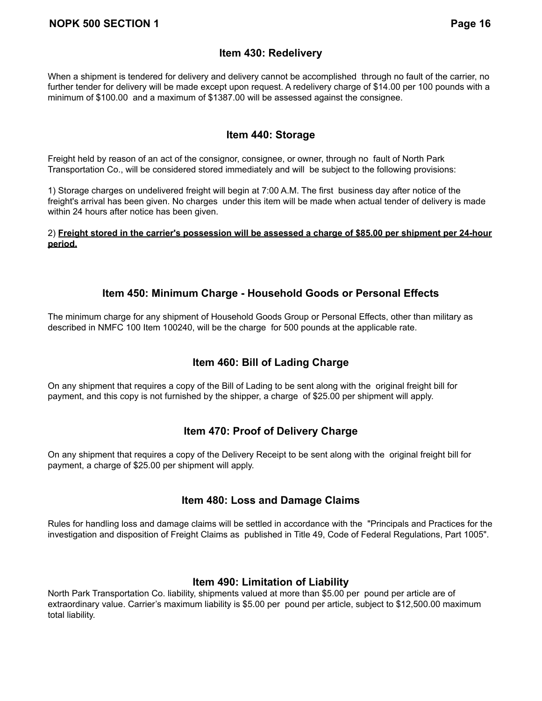## **Item 430: Redelivery**

When a shipment is tendered for delivery and delivery cannot be accomplished through no fault of the carrier, no further tender for delivery will be made except upon request. A redelivery charge of \$14.00 per 100 pounds with a minimum of \$100.00 and a maximum of \$1387.00 will be assessed against the consignee.

#### **Item 440: Storage**

Freight held by reason of an act of the consignor, consignee, or owner, through no fault of North Park Transportation Co., will be considered stored immediately and will be subject to the following provisions:

1) Storage charges on undelivered freight will begin at 7:00 A.M. The first business day after notice of the freight's arrival has been given. No charges under this item will be made when actual tender of delivery is made within 24 hours after notice has been given.

2) Freight stored in the carrier's possession will be assessed a charge of \$85.00 per shipment per 24-hour **period.**

#### **Item 450: Minimum Charge - Household Goods or Personal Effects**

The minimum charge for any shipment of Household Goods Group or Personal Effects, other than military as described in NMFC 100 Item 100240, will be the charge for 500 pounds at the applicable rate.

## **Item 460: Bill of Lading Charge**

On any shipment that requires a copy of the Bill of Lading to be sent along with the original freight bill for payment, and this copy is not furnished by the shipper, a charge of \$25.00 per shipment will apply.

## **Item 470: Proof of Delivery Charge**

On any shipment that requires a copy of the Delivery Receipt to be sent along with the original freight bill for payment, a charge of \$25.00 per shipment will apply.

## **Item 480: Loss and Damage Claims**

Rules for handling loss and damage claims will be settled in accordance with the "Principals and Practices for the investigation and disposition of Freight Claims as published in Title 49, Code of Federal Regulations, Part 1005".

## **Item 490: Limitation of Liability**

North Park Transportation Co. liability, shipments valued at more than \$5.00 per pound per article are of extraordinary value. Carrier's maximum liability is \$5.00 per pound per article, subject to \$12,500.00 maximum total liability.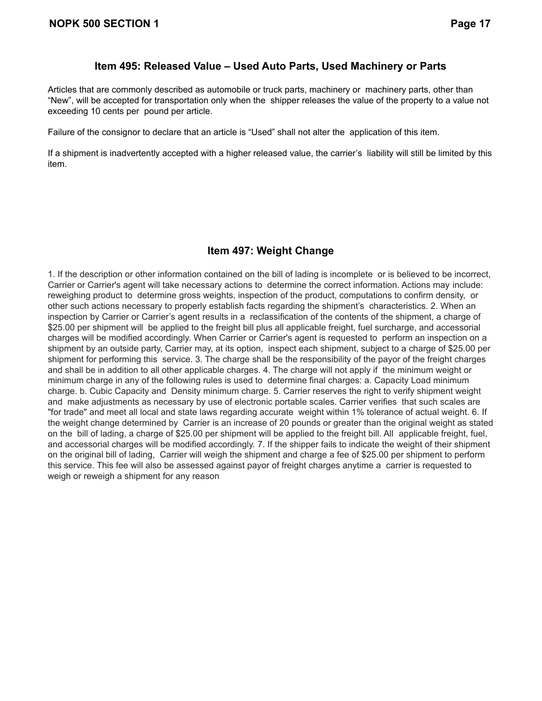#### **Item 495: Released Value – Used Auto Parts, Used Machinery or Parts**

Articles that are commonly described as automobile or truck parts, machinery or machinery parts, other than "New", will be accepted for transportation only when the shipper releases the value of the property to a value not exceeding 10 cents per pound per article.

Failure of the consignor to declare that an article is "Used" shall not alter the application of this item.

If a shipment is inadvertently accepted with a higher released value, the carrier's liability will still be limited by this item.

# **Item 497: Weight Change**

1. If the description or other information contained on the bill of lading is incomplete or is believed to be incorrect, Carrier or Carrier's agent will take necessary actions to determine the correct information. Actions may include: reweighing product to determine gross weights, inspection of the product, computations to confirm density, or other such actions necessary to properly establish facts regarding the shipment's characteristics. 2. When an inspection by Carrier or Carrier's agent results in a reclassification of the contents of the shipment, a charge of \$25.00 per shipment will be applied to the freight bill plus all applicable freight, fuel surcharge, and accessorial charges will be modified accordingly. When Carrier or Carrier's agent is requested to perform an inspection on a shipment by an outside party, Carrier may, at its option, inspect each shipment, subject to a charge of \$25.00 per shipment for performing this service. 3. The charge shall be the responsibility of the payor of the freight charges and shall be in addition to all other applicable charges. 4. The charge will not apply if the minimum weight or minimum charge in any of the following rules is used to determine final charges: a. Capacity Load minimum charge. b. Cubic Capacity and Density minimum charge. 5. Carrier reserves the right to verify shipment weight and make adjustments as necessary by use of electronic portable scales. Carrier verifies that such scales are "for trade" and meet all local and state laws regarding accurate weight within 1% tolerance of actual weight. 6. If the weight change determined by Carrier is an increase of 20 pounds or greater than the original weight as stated on the bill of lading, a charge of \$25.00 per shipment will be applied to the freight bill. All applicable freight, fuel, and accessorial charges will be modified accordingly. 7. If the shipper fails to indicate the weight of their shipment on the original bill of lading, Carrier will weigh the shipment and charge a fee of \$25.00 per shipment to perform this service. This fee will also be assessed against payor of freight charges anytime a carrier is requested to weigh or reweigh a shipment for any reason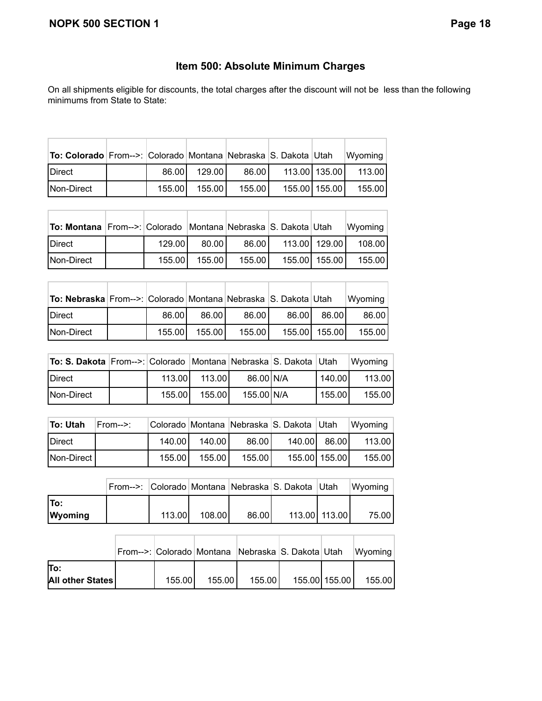# **Item 500: Absolute Minimum Charges**

On all shipments eligible for discounts, the total charges after the discount will not be less than the following minimums from State to State:

| To: Colorado From-->: Colorado Montana Nebraska S. Dakota Utah |        |        |        |                 | Wyoming |
|----------------------------------------------------------------|--------|--------|--------|-----------------|---------|
| <b>IDirect</b>                                                 | 86.00  | 129.00 | 86.00  | 113.00 135.00   | 113.00  |
| Non-Direct                                                     | 155.00 | 155.00 | 155.00 | 155.00   155.00 | 155.00  |

| <b>To: Montana</b> From-->: Colorado   Montana   Nebraska S. Dakota   Utah |         |        |        |                 | Wyoming |
|----------------------------------------------------------------------------|---------|--------|--------|-----------------|---------|
| Direct                                                                     | 129.001 | 80.00  | 86.00  | 113.00 129.00   | 108.001 |
| Non-Direct                                                                 | 155.00  | 155.00 | 155.00 | 155.00   155.00 | 155.001 |

| To: Nebraska From-->: Colorado Montana Nebraska S. Dakota Utah |         |        |        |       |               | Wyoming |
|----------------------------------------------------------------|---------|--------|--------|-------|---------------|---------|
| <b>IDirect</b>                                                 | 86.00   | 86.00  | 86.00  | 86.00 | 86.00         | 86.00   |
| Non-Direct                                                     | 155.001 | 155.00 | 155.00 |       | 155.00 155.00 | 155.001 |

т

т

т

т

т

| To: S. Dakota From-->: Colorado Montana Nebraska S. Dakota Utah |        |        |            |        | $ W$ yoming $ $ |
|-----------------------------------------------------------------|--------|--------|------------|--------|-----------------|
| Direct                                                          | 113.00 | 113.00 | 86.00 N/A  | 140.00 | 113.00          |
| Non-Direct                                                      | 155.00 | 155.00 | 155.00 N/A | 155.00 | 155.00          |

| To: Utah   | $From--$ |        |        |        | Colorado Montana Nebraska S. Dakota Utah |               | Wyoming |
|------------|----------|--------|--------|--------|------------------------------------------|---------------|---------|
| Direct     |          | 140.00 | 140.00 | 86.00  | 140.00                                   | 86.001        | 113.001 |
| Non-Direct |          | 155.00 | 155.00 | 155.00 |                                          | 155.00 155.00 | 155.00  |

|                |        |        |       | From-->: Colorado Montana Nebraska S. Dakota Utah |               | Wyoming |
|----------------|--------|--------|-------|---------------------------------------------------|---------------|---------|
| To:            |        |        |       |                                                   |               |         |
| <b>Wyoming</b> | 113.00 | 108.00 | 86.00 |                                                   | 113.00 113.00 | 75.00   |

|                  |        |        | From-->: Colorado Montana Nebraska S. Dakota Utah |                 | Wyoming |
|------------------|--------|--------|---------------------------------------------------|-----------------|---------|
| lTo:             |        |        |                                                   |                 |         |
| All other States | 155.00 | 155.00 | 155.00                                            | 155.00   155.00 | 155.00  |